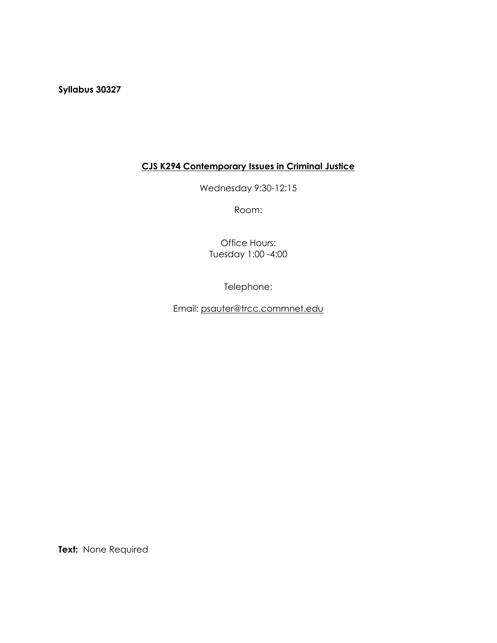**Syllabus 30327**

# **CJS K294 Contemporary Issues in Criminal Justice**

Wednesday 9:30-12:15

Room:

Office Hours: Tuesday 1:00 -4:00

Telephone:

Email: [psauter@trcc.commnet.edu](mailto:psauter@trcc.commnet.edu)

**Text:** None Required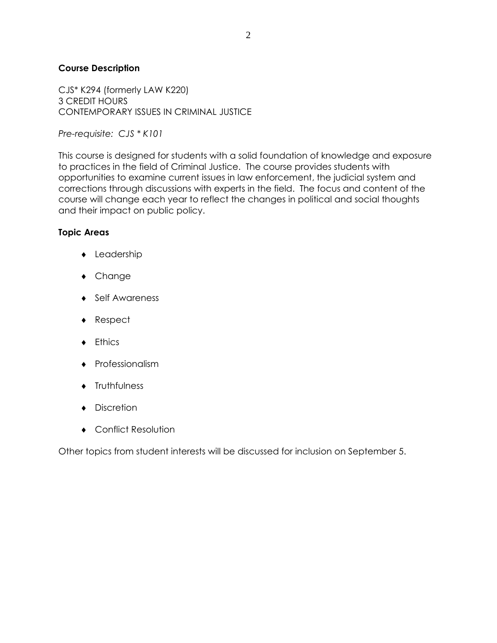## **Course Description**

CJS\* K294 (formerly LAW K220) 3 CREDIT HOURS CONTEMPORARY ISSUES IN CRIMINAL JUSTICE

*Pre-requisite: CJS \* K101*

This course is designed for students with a solid foundation of knowledge and exposure to practices in the field of Criminal Justice. The course provides students with opportunities to examine current issues in law enforcement, the judicial system and corrections through discussions with experts in the field. The focus and content of the course will change each year to reflect the changes in political and social thoughts and their impact on public policy.

#### **Topic Areas**

- Leadership
- Change
- ◆ Self Awareness
- ◆ Respect
- **+** Ethics
- Professionalism
- **+** Truthfulness
- Discretion
- Conflict Resolution

Other topics from student interests will be discussed for inclusion on September 5.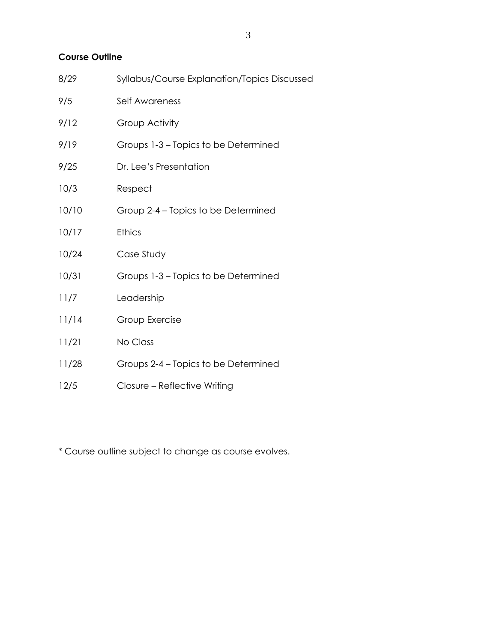## **Course Outline**

| 8/29  | Syllabus/Course Explanation/Topics Discussed |
|-------|----------------------------------------------|
| 9/5   | Self Awareness                               |
| 9/12  | Group Activity                               |
| 9/19  | Groups 1-3 – Topics to be Determined         |
| 9/25  | Dr. Lee's Presentation                       |
| 10/3  | Respect                                      |
| 10/10 | Group 2-4 – Topics to be Determined          |
| 10/17 | <b>Ethics</b>                                |
| 10/24 | Case Study                                   |
| 10/31 | Groups 1-3 – Topics to be Determined         |
| 11/7  | Leadership                                   |
| 11/14 | Group Exercise                               |
| 11/21 | No Class                                     |
| 11/28 | Groups 2-4 – Topics to be Determined         |
| 12/5  | Closure - Reflective Writing                 |

\* Course outline subject to change as course evolves.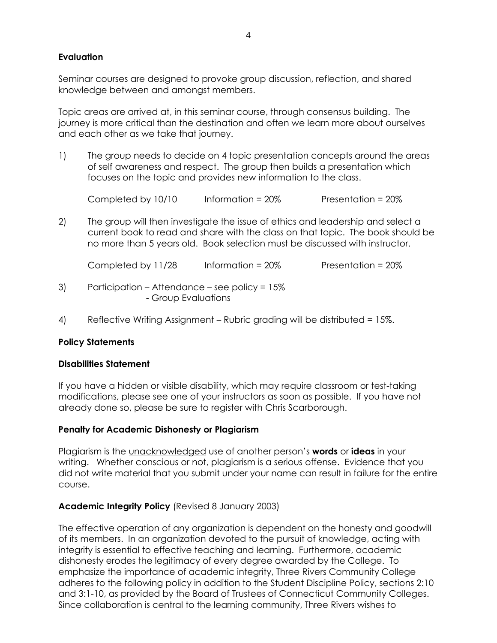## **Evaluation**

Seminar courses are designed to provoke group discussion, reflection, and shared knowledge between and amongst members.

Topic areas are arrived at, in this seminar course, through consensus building. The journey is more critical than the destination and often we learn more about ourselves and each other as we take that journey.

1) The group needs to decide on 4 topic presentation concepts around the areas of self awareness and respect. The group then builds a presentation which focuses on the topic and provides new information to the class.

Completed by  $10/10$  Information =  $20\%$  Presentation =  $20\%$ 

2) The group will then investigate the issue of ethics and leadership and select a current book to read and share with the class on that topic. The book should be no more than 5 years old. Book selection must be discussed with instructor.

Completed by 11/28 Information = 20% Presentation = 20%

- 3) Participation Attendance see policy = 15% - Group Evaluations
- 4) Reflective Writing Assignment Rubric grading will be distributed = 15%.

## **Policy Statements**

#### **Disabilities Statement**

If you have a hidden or visible disability, which may require classroom or test-taking modifications, please see one of your instructors as soon as possible. If you have not already done so, please be sure to register with Chris Scarborough.

#### **Penalty for Academic Dishonesty or Plagiarism**

Plagiarism is the unacknowledged use of another person's **words** or **ideas** in your writing. Whether conscious or not, plagiarism is a serious offense. Evidence that you did not write material that you submit under your name can result in failure for the entire course.

#### **Academic Integrity Policy** (Revised 8 January 2003)

The effective operation of any organization is dependent on the honesty and goodwill of its members. In an organization devoted to the pursuit of knowledge, acting with integrity is essential to effective teaching and learning. Furthermore, academic dishonesty erodes the legitimacy of every degree awarded by the College. To emphasize the importance of academic integrity, Three Rivers Community College adheres to the following policy in addition to the Student Discipline Policy, sections 2:10 and 3:1-10, as provided by the Board of Trustees of Connecticut Community Colleges. Since collaboration is central to the learning community, Three Rivers wishes to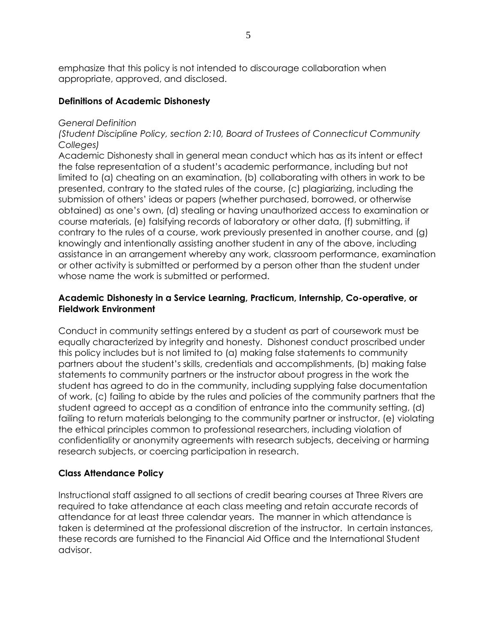emphasize that this policy is not intended to discourage collaboration when appropriate, approved, and disclosed.

#### **Definitions of Academic Dishonesty**

#### *General Definition*

*(Student Discipline Policy, section 2:10, Board of Trustees of Connecticut Community Colleges)*

Academic Dishonesty shall in general mean conduct which has as its intent or effect the false representation of a student's academic performance, including but not limited to (a) cheating on an examination, (b) collaborating with others in work to be presented, contrary to the stated rules of the course, (c) plagiarizing, including the submission of others' ideas or papers (whether purchased, borrowed, or otherwise obtained) as one's own, (d) stealing or having unauthorized access to examination or course materials, (e) falsifying records of laboratory or other data, (f) submitting, if contrary to the rules of a course, work previously presented in another course, and (g) knowingly and intentionally assisting another student in any of the above, including assistance in an arrangement whereby any work, classroom performance, examination or other activity is submitted or performed by a person other than the student under whose name the work is submitted or performed.

#### **Academic Dishonesty in a Service Learning, Practicum, Internship, Co-operative, or Fieldwork Environment**

Conduct in community settings entered by a student as part of coursework must be equally characterized by integrity and honesty. Dishonest conduct proscribed under this policy includes but is not limited to (a) making false statements to community partners about the student's skills, credentials and accomplishments, (b) making false statements to community partners or the instructor about progress in the work the student has agreed to do in the community, including supplying false documentation of work, (c) failing to abide by the rules and policies of the community partners that the student agreed to accept as a condition of entrance into the community setting, (d) failing to return materials belonging to the community partner or instructor, (e) violating the ethical principles common to professional researchers, including violation of confidentiality or anonymity agreements with research subjects, deceiving or harming research subjects, or coercing participation in research.

#### **Class Attendance Policy**

Instructional staff assigned to all sections of credit bearing courses at Three Rivers are required to take attendance at each class meeting and retain accurate records of attendance for at least three calendar years. The manner in which attendance is taken is determined at the professional discretion of the instructor. In certain instances, these records are furnished to the Financial Aid Office and the International Student advisor.